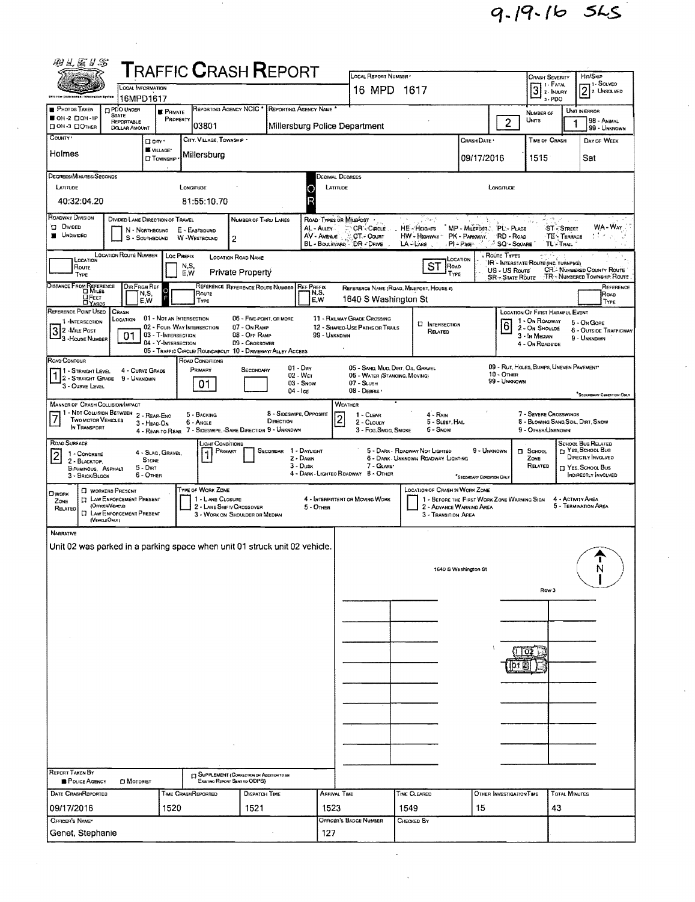9-19-16 545

| 胸兰运马名                                                                                                                                                                                                                                                                                                                                                                                                                                                                              |                                                                                                                                       |                                                                        |                                         | <b>TRAFFIC CRASH REPORT</b>                                                                                    |                                                          |                                             |                                                                |                                                                       |                                                                                                |                                          |                                           |                                                           |                                                                                                               |                                            |
|------------------------------------------------------------------------------------------------------------------------------------------------------------------------------------------------------------------------------------------------------------------------------------------------------------------------------------------------------------------------------------------------------------------------------------------------------------------------------------|---------------------------------------------------------------------------------------------------------------------------------------|------------------------------------------------------------------------|-----------------------------------------|----------------------------------------------------------------------------------------------------------------|----------------------------------------------------------|---------------------------------------------|----------------------------------------------------------------|-----------------------------------------------------------------------|------------------------------------------------------------------------------------------------|------------------------------------------|-------------------------------------------|-----------------------------------------------------------|---------------------------------------------------------------------------------------------------------------|--------------------------------------------|
|                                                                                                                                                                                                                                                                                                                                                                                                                                                                                    |                                                                                                                                       | <b>LOCAL INFORMATION</b>                                               |                                         |                                                                                                                |                                                          |                                             | LOCAL REPORT NUMBER<br>16 MPD 1617                             |                                                                       |                                                                                                |                                          |                                           | <b>CRASH SEVERITY</b><br>1 1 - Fatal<br>$3$ $\cdot$ FATAL | Hrr/SkiP                                                                                                      | – 1 – SOLVED<br>$2$ $\frac{1}{2}$ Unsolved |
| iklo taw (mjaroeman) taku watiw<br>PHOTOS TAKEN                                                                                                                                                                                                                                                                                                                                                                                                                                    | <b>PDO UNDER</b>                                                                                                                      | 16MPD1617<br><b>PRIVATE</b>                                            | REPORTING AGENCY NCIC                   |                                                                                                                | REPORTING AGENCY NAME *                                  |                                             |                                                                |                                                                       |                                                                                                |                                          |                                           | 3 - PDO<br>NUMBER OF                                      | UNIT IN ERROR                                                                                                 |                                            |
| OH -2 DOH -1P<br>П ОН-3 ПОТНЕВ                                                                                                                                                                                                                                                                                                                                                                                                                                                     | <b>STATE</b><br>REPORTABLE<br><b>DOLLAR AMOUNT</b>                                                                                    | PROPERTY                                                               | 03801                                   |                                                                                                                |                                                          |                                             | Millersburg Police Department                                  |                                                                       |                                                                                                |                                          | $\overline{2}$                            | UNITS                                                     |                                                                                                               | <b>98 - ANMAL</b><br>99 - Unknown          |
| COUNTY *                                                                                                                                                                                                                                                                                                                                                                                                                                                                           |                                                                                                                                       | D cm <sup>-</sup><br>VILLAGE*                                          | CITY. VILLAGE, TOWNSHIP *               |                                                                                                                |                                                          |                                             |                                                                |                                                                       |                                                                                                | CRASH DATE *                             |                                           | TIME OF CRASH                                             |                                                                                                               | DAY OF WEEK                                |
| Holmes                                                                                                                                                                                                                                                                                                                                                                                                                                                                             |                                                                                                                                       | <b>ET TOWNSHIP</b>                                                     | Millersburg                             |                                                                                                                |                                                          |                                             |                                                                |                                                                       |                                                                                                | 09/17/2016                               |                                           | 1515                                                      | Sat                                                                                                           |                                            |
| DEGREES/MINUTES/SECONDS<br>LATITUDE                                                                                                                                                                                                                                                                                                                                                                                                                                                |                                                                                                                                       |                                                                        | LONGITUDE                               |                                                                                                                |                                                          | LATITUDE<br>С                               | DECIMAL DEGREES                                                |                                                                       |                                                                                                |                                          | LONGITUDE                                 |                                                           |                                                                                                               |                                            |
| 40:32:04.20                                                                                                                                                                                                                                                                                                                                                                                                                                                                        |                                                                                                                                       |                                                                        | 81:55:10.70                             |                                                                                                                |                                                          |                                             |                                                                |                                                                       |                                                                                                |                                          |                                           |                                                           |                                                                                                               |                                            |
| ROADWAY DIVISION<br><b>DIVIDED</b><br><b>NOWDED</b>                                                                                                                                                                                                                                                                                                                                                                                                                                |                                                                                                                                       | DIVIDED LANE DIRECTION OF TRAVEL<br>N - NORTHBOUND<br>$S -$ SOUTHBDUND | E - EASTBOUND<br><b>W-WESTBOUND</b>     | NUMBER OF THRU LANES<br>2                                                                                      |                                                          | AL - ALLEY<br>AV - AVENUE<br>BL - BOULEVARD | ROAD TYPES OR MILEPOST .<br>CR-CincLE<br>CT - Count<br>DR-DRNE | الربولار<br>HE - HEIGHTS<br>HW - Highway<br>LA-LANE                   | $PI - P_{HE}$                                                                                  | MP - Milerost.<br>PK - PARKWAY,          | PL-PLACE<br>RD - ROAD<br><b>SQ-SQUARE</b> | TL TRAIL                                                  | <b>ST-STREET</b><br>TE - TERRACE                                                                              | WA-War                                     |
| LOCATION                                                                                                                                                                                                                                                                                                                                                                                                                                                                           | <b>LOCATION ROUTE NUMBER</b>                                                                                                          | LOC PREFIX                                                             |                                         | <b>LOCATION ROAD NAME</b>                                                                                      |                                                          |                                             |                                                                |                                                                       | LOCATION                                                                                       |                                          | ROUTE TYPES                               |                                                           |                                                                                                               |                                            |
| IR - INTERSTATE ROUTE (INC. TURNPIKE)<br><b>ST</b><br>N,S,<br>ROAD<br>Route<br><b>CR.</b> NUMBERED COUNTY ROUTE<br>US - US Route<br>Private Property<br>E.W<br>TYPE<br>TYPE<br>TR - NUMBERED TOWNSHIP ROUTE<br><b>SR - STATE ROUTE</b>                                                                                                                                                                                                                                             |                                                                                                                                       |                                                                        |                                         |                                                                                                                |                                                          |                                             |                                                                |                                                                       |                                                                                                |                                          |                                           |                                                           |                                                                                                               |                                            |
| DISTANCE FROM REFERENCE<br>REFERENCE REFERENCE ROUTE NUMBER<br>DIR FROM REF<br><b>REF PREFIX</b><br>REFERENCE NAME (ROAD, MILEPOST, HOUSE #)<br>$\circ$<br>N,S,<br>N,S,<br>Route<br>ROAD<br><b>D</b> FEET<br>1640 S Washington St<br>E,W<br>E,W<br>Type<br>TYPE                                                                                                                                                                                                                    |                                                                                                                                       |                                                                        |                                         |                                                                                                                |                                                          |                                             |                                                                |                                                                       |                                                                                                |                                          | REFERENCE                                 |                                                           |                                                                                                               |                                            |
| REFERENCE POINT USED<br>1 -INTERSECTION                                                                                                                                                                                                                                                                                                                                                                                                                                            | CRASH<br>LOCATION                                                                                                                     | 01 - NOT AN INTERSECTION                                               |                                         | 05 - FIVE-POINT, OR MORE                                                                                       |                                                          |                                             | 11 - RAILWAY GRADE CROSSING                                    | ם                                                                     | <b>INTERSECTION</b>                                                                            |                                          |                                           | <b>LOCATION OF FIRST HARMFUL EVENT</b><br>1 - On ROADWAY  | 5 - On Gone                                                                                                   |                                            |
| 32 MILE POST<br>3 - HOUSE NUMBER                                                                                                                                                                                                                                                                                                                                                                                                                                                   | 01                                                                                                                                    | 03 - T-INTERSECTION<br>04 - Y-INTERSECTION                             | 02 - Four-Way Intersection              | 07 - On RAMP<br>08 - OFF RAMP<br>09 - Crossover<br>05 - TRAFFIC CIRCLE/ ROUNDABOUT 10 - DRIVEWAY/ ALLEY ACCESS |                                                          | 99 - UNKNOWN                                | 12 - SHARED-USE PATHS OR TRAILS                                |                                                                       | RELATED                                                                                        |                                          | 6                                         | 2 - On Shoulde<br>3 - In MEDIAN<br>4 - On RDADSIDE        | 9 - UNKNDWN                                                                                                   | 6 - OUTSIDE TRAFFICWAY                     |
| ROAD CONTOUR<br>1 - STRAIGHT LEVEL<br>$1\frac{1}{2}$ - STRAIGHT GRADE<br>3 - CURVE LEVEL                                                                                                                                                                                                                                                                                                                                                                                           | 9 - UNKNOWN                                                                                                                           | 4 - CURVE GRADE                                                        | ROAD CONDITIONS<br>PRIMARY<br>01        | SECONDARY                                                                                                      | $01 - \text{Dry}$<br>02 - Wer<br>03 - Snow<br>$04 -$ Ice |                                             | 06 - WATER (STANOING, MOVING)<br>$07 -$ SLUSH<br>08 - DEBRIS · | 05 - SAND, MUD, DIRT, OIL, GRAVEL                                     |                                                                                                |                                          | 10 - OTHER<br>99 - Unknown                | 09 - RUT, HOLES, BUMPS, UNEVEN PAVEMENT                   |                                                                                                               | <sup>*</sup> SECONDARY CONDITION ONLY      |
| <b>MANNER OF CRASH COLLISION/IMPACT</b><br>WEATHER<br>11 - NDT COLLISION BETWEEN 2 - REAR-ENO<br>8 - Sideswige, Opposite<br>7 - Severe Crosswinos<br>5 - BACKING<br>$1 - C$ LEAR<br>$4 - R_{AlN}$<br>7<br>TWO MOTOR VEHICLES<br>DIRECTION<br>8 - BLOWING SAND, SOIL, DIRT, SNDW<br>5 - SLEET, HAIL<br>6 - Angle<br>2 - CLOUDY<br>3 - HEAD-ON<br>IN TRANSPORT<br>4 - REAR-TO-REAR 7 - SIDESWIPE, SAME DIRECTION 9 - UNKNOWN<br>3 - Fog.Smog. Smoke<br>6 - Snow<br>9 - OTHER/UNKNOWN |                                                                                                                                       |                                                                        |                                         |                                                                                                                |                                                          |                                             |                                                                |                                                                       |                                                                                                |                                          |                                           |                                                           |                                                                                                               |                                            |
| ROAD SURFACE<br>$\overline{2}$<br>1 - CONCRETE<br>2 - BLACKTOP,<br><b>BITUMINOUS, ASPHALT</b><br>3 - BRICK/BLOCK                                                                                                                                                                                                                                                                                                                                                                   |                                                                                                                                       | 4 - SLAG, GRAVEL,<br><b>STONE</b><br>5 - Dirt<br>6 - OTHER             | <b>LIGHT CONDITIONS</b><br>PRIMARY<br>1 | <b>SECONDAR</b>                                                                                                | 1 - Daylight<br>$2 -$ Dawn<br>$3 -$ Dusk                 |                                             | 7 - GLARE*<br>4 - DARK - LIGHTED ROADWAY B - OTHER             | 5 - DARK - ROADWAY NOT LIGHTED<br>6 - DARK - UNKNOWN ROADWAY LIGHTING |                                                                                                | 9 - UNKNOWN<br>*SECONDARY CONDITION ONLY |                                           | <b>II</b> SCHOOL<br>ZONE<br>RELATED                       | <b>SCHOOL BUS RELATED</b><br>YES, SCHOOL BUS<br>DIRECTLY INVOLVED<br>T YES, SCHOOL BUS<br>INDIRECTLY INVOLVED |                                            |
| <b>CIWORK</b><br>ZONE<br>RELATED                                                                                                                                                                                                                                                                                                                                                                                                                                                   | <b>D</b> WORKERS PRESENT<br><b>ET LAW ENFORCEMENT PRESENT</b><br>(OFFICER/VENCLE)<br><b>ET LAW ENFORCEMENT PRESENT</b><br>(VEHOLEOMY) |                                                                        | TYPE OF WORK ZONE<br>1 - LANE CLOSURE   | 2 - LANE SHIFT/ CROSSOVER<br>3 - WORK ON SHOULDER OR MEDIAN                                                    |                                                          | $5 -$ OTHER                                 | 4 - INTERMITTENT OR MOVING WORK                                | <b>LOCATION OF CRASH IN WORK ZONE</b>                                 | 1 - BEFORE THE FIRST WORK ZONE WARNING SIGN<br>2 - ADVANCE WARNING AREA<br>3 - TRANSITION AREA |                                          |                                           |                                                           | 4 - ACTIVITY AREA<br>5 - TERMINATION AREA                                                                     |                                            |
| <b>NARRATIVE</b><br>Unit 02 was parked in a parking space when unit 01 struck unit 02 vehicle                                                                                                                                                                                                                                                                                                                                                                                      |                                                                                                                                       |                                                                        |                                         |                                                                                                                |                                                          |                                             |                                                                |                                                                       | 1640 S Washington St                                                                           |                                          |                                           | Row <sub>3</sub>                                          |                                                                                                               | N                                          |
|                                                                                                                                                                                                                                                                                                                                                                                                                                                                                    |                                                                                                                                       |                                                                        |                                         |                                                                                                                |                                                          |                                             |                                                                |                                                                       |                                                                                                |                                          |                                           |                                                           |                                                                                                               |                                            |
|                                                                                                                                                                                                                                                                                                                                                                                                                                                                                    |                                                                                                                                       |                                                                        |                                         |                                                                                                                |                                                          |                                             |                                                                |                                                                       |                                                                                                |                                          |                                           | 102 <sub>1</sub>                                          |                                                                                                               |                                            |
|                                                                                                                                                                                                                                                                                                                                                                                                                                                                                    |                                                                                                                                       |                                                                        |                                         |                                                                                                                |                                                          |                                             |                                                                |                                                                       |                                                                                                |                                          |                                           |                                                           |                                                                                                               |                                            |
|                                                                                                                                                                                                                                                                                                                                                                                                                                                                                    |                                                                                                                                       |                                                                        |                                         |                                                                                                                |                                                          |                                             |                                                                |                                                                       |                                                                                                |                                          |                                           |                                                           |                                                                                                               |                                            |
|                                                                                                                                                                                                                                                                                                                                                                                                                                                                                    |                                                                                                                                       |                                                                        |                                         |                                                                                                                |                                                          |                                             |                                                                |                                                                       |                                                                                                |                                          |                                           |                                                           |                                                                                                               |                                            |
|                                                                                                                                                                                                                                                                                                                                                                                                                                                                                    |                                                                                                                                       |                                                                        |                                         |                                                                                                                |                                                          |                                             |                                                                |                                                                       |                                                                                                |                                          |                                           |                                                           |                                                                                                               |                                            |
|                                                                                                                                                                                                                                                                                                                                                                                                                                                                                    |                                                                                                                                       |                                                                        |                                         |                                                                                                                |                                                          |                                             |                                                                |                                                                       |                                                                                                |                                          |                                           |                                                           |                                                                                                               |                                            |
| <b>REPORT TAKEN BY</b><br>POLICE AGENCY                                                                                                                                                                                                                                                                                                                                                                                                                                            | <b>D</b> MOTORIST                                                                                                                     |                                                                        |                                         | <b>CJ SUPPLEMENT (CORRECTION OR ADDITION TO AN</b><br>EXISTING REPORT SENT TO ODPS)                            |                                                          |                                             |                                                                |                                                                       |                                                                                                |                                          |                                           |                                                           |                                                                                                               |                                            |
| DATE CRASHREPORTED<br>09/17/2016                                                                                                                                                                                                                                                                                                                                                                                                                                                   |                                                                                                                                       | 1520                                                                   | TIME CRASHREPORTED                      | <b>DISPATCH TIME</b><br>1521                                                                                   |                                                          | Arrival Time<br>1523                        |                                                                | TIME CLEARED<br>1549                                                  |                                                                                                | 15                                       | OTHER INVESTIGATION TIME                  | 43                                                        | <b>TOTAL MINUTES</b>                                                                                          |                                            |
| OFFICER'S NAME*                                                                                                                                                                                                                                                                                                                                                                                                                                                                    |                                                                                                                                       |                                                                        |                                         |                                                                                                                |                                                          |                                             | OFFICER'S BADGE NUMBER                                         | CHECKED BY                                                            |                                                                                                |                                          |                                           |                                                           |                                                                                                               |                                            |
| Genet, Stephanie                                                                                                                                                                                                                                                                                                                                                                                                                                                                   |                                                                                                                                       |                                                                        |                                         |                                                                                                                |                                                          | 127                                         |                                                                |                                                                       |                                                                                                |                                          |                                           |                                                           |                                                                                                               |                                            |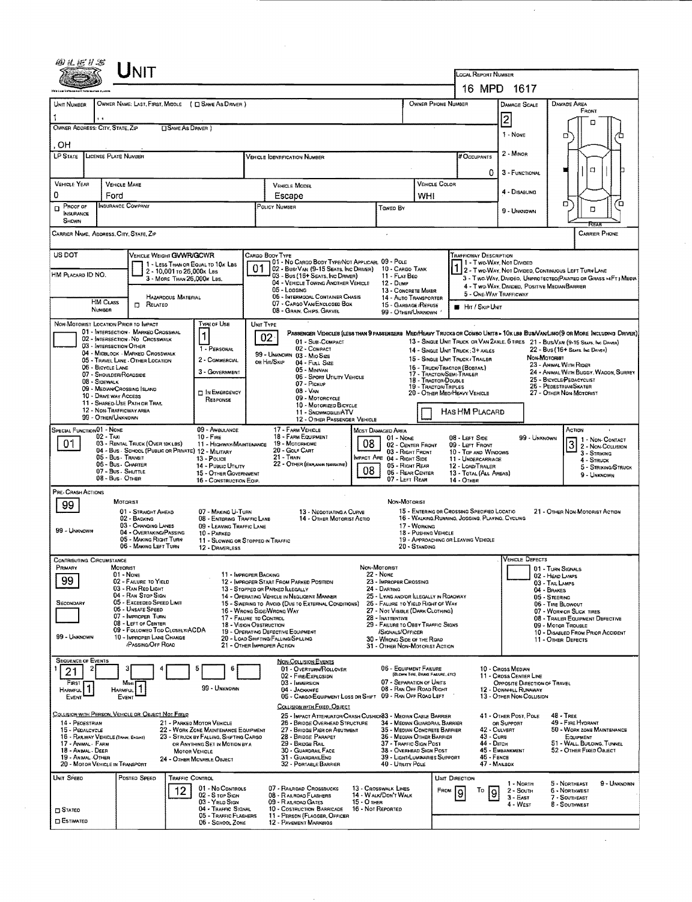|                                                                                  | UNIT                                                                                               |                                                                          |                                                                                         |                                                                            |                                                                                        |                                                                                  |                                                                                                                       |                                                                                                                                                                                                                     |  |  |
|----------------------------------------------------------------------------------|----------------------------------------------------------------------------------------------------|--------------------------------------------------------------------------|-----------------------------------------------------------------------------------------|----------------------------------------------------------------------------|----------------------------------------------------------------------------------------|----------------------------------------------------------------------------------|-----------------------------------------------------------------------------------------------------------------------|---------------------------------------------------------------------------------------------------------------------------------------------------------------------------------------------------------------------|--|--|
|                                                                                  |                                                                                                    |                                                                          |                                                                                         |                                                                            |                                                                                        | LOCAL REPORT NUMBER                                                              | 16 MPD 1617                                                                                                           |                                                                                                                                                                                                                     |  |  |
| UNIT NUMBER                                                                      |                                                                                                    |                                                                          |                                                                                         |                                                                            |                                                                                        | OWNER PHONE NUMBER                                                               | <b>DAMAGE SCALE</b>                                                                                                   | <b>DAMAGE AREA</b>                                                                                                                                                                                                  |  |  |
| OWNER NAME: LAST, FIRST, MIDDLE ( C SAME AS DRIVER )<br>1                        |                                                                                                    |                                                                          |                                                                                         |                                                                            |                                                                                        |                                                                                  | $\overline{2}$                                                                                                        | FRONT                                                                                                                                                                                                               |  |  |
| OWNER ADDRESS: CITY, STATE, ZIP                                                  |                                                                                                    | <b>OSAME AS DRIVER</b> )                                                 |                                                                                         |                                                                            |                                                                                        |                                                                                  | 1 - NONE                                                                                                              | n                                                                                                                                                                                                                   |  |  |
| OН                                                                               |                                                                                                    |                                                                          |                                                                                         |                                                                            |                                                                                        |                                                                                  | 2 - MINOR                                                                                                             |                                                                                                                                                                                                                     |  |  |
| LP STATE                                                                         | LICENSE PLATE NUMBER                                                                               |                                                                          | <b>VEHICLE IDENTIFICATION NUMBER</b>                                                    |                                                                            |                                                                                        | # Occupants                                                                      |                                                                                                                       | a                                                                                                                                                                                                                   |  |  |
| VEHICLE YEAR                                                                     | <b>VEHICLE MAKE</b>                                                                                |                                                                          | <b>VEHICLE MODEL</b>                                                                    |                                                                            |                                                                                        | 0<br><b>VEHICLE COLOR</b>                                                        | 3 - FUNCTIONAL                                                                                                        |                                                                                                                                                                                                                     |  |  |
| 0                                                                                | Ford                                                                                               |                                                                          | Escape                                                                                  |                                                                            | WHI                                                                                    |                                                                                  | 4 - Disabung                                                                                                          |                                                                                                                                                                                                                     |  |  |
| Proof of<br>D<br><b>INSURANCE</b><br>SHOWN                                       | INSURANCE COMPANY                                                                                  |                                                                          | POLICY NUMBER                                                                           | Toweo By                                                                   |                                                                                        |                                                                                  | 9 UNKNOWN                                                                                                             | D<br>ם<br>O<br>REAR                                                                                                                                                                                                 |  |  |
| CARRIER NAME, ADDRESS, CITY, STATE, ZIP                                          |                                                                                                    |                                                                          |                                                                                         |                                                                            |                                                                                        |                                                                                  |                                                                                                                       | <b>CARRIER PHONE</b>                                                                                                                                                                                                |  |  |
| US DOT                                                                           | VEHICLE WEIGHT GVWR/GCWR                                                                           | 1 - LESS THAN OR EQUAL TO 10K LBS                                        | Cargo Body Type                                                                         | 01 - No CARGO BODY TYPE/NOT APPLICABL 09 - POLE                            |                                                                                        | TRAFFICWAY DESCRIPTION                                                           | 11 - Two-Way, Not Divided                                                                                             |                                                                                                                                                                                                                     |  |  |
| HM PLACARD ID NO.                                                                | 2 - 10,001 to 26,000k Las                                                                          | 3 - MORE THAN 26,000K LBS.                                               | 01<br>02 - Busi Van (9-15 Seats, Inc Driver)<br>03 - Bus (16+ Seats, Inc Driver)        | 11 - FLAT BED                                                              | 10 - CARGO TANK                                                                        |                                                                                  | 2 - Two-Way, Not Divideo, Continuous LEFT TURN LANE<br>3 - Two-Way, Divideo, Unprotecteo/Painted or Grass >4FTJ Media |                                                                                                                                                                                                                     |  |  |
| <b>HAZARDOUS MATERIAL</b>                                                        |                                                                                                    |                                                                          | 04 - VEHICLE TOWING ANDTHER VEHICLE<br>05 - Logging<br>06 - INTERMODAL CONTAINER CHASIS | <b>12 - Dump</b><br>13 - CONCRETE MIXER<br>14 - AUTO TRANSPORTER           |                                                                                        | 4 - Two-Way, Divided, Positive Median Barrier<br>5 - ONE-WAY TRAFFICWAY          |                                                                                                                       |                                                                                                                                                                                                                     |  |  |
| HM CLASS<br><b>NUMBER</b>                                                        | $\Box$ RELATED                                                                                     |                                                                          | 07 - CARGO VAN/ENCLOSED BOX<br>08 - GRAIN, CHPS, GRAVEL                                 |                                                                            | 15 - GARBAGE /REFUSE<br>99 - OTHER/UNKNOWN                                             | <b>B</b> Har / Skip UNIT                                                         |                                                                                                                       |                                                                                                                                                                                                                     |  |  |
| NON-MOTORIST LOCATION PRIOR TO IMPACT                                            |                                                                                                    | <b>TYPE OF USE</b>                                                       | UNIT TYPE                                                                               |                                                                            |                                                                                        |                                                                                  |                                                                                                                       |                                                                                                                                                                                                                     |  |  |
|                                                                                  | 01 - INTERSECTION - MARKED CROSSWAL<br>02 - INTERSECTION - NO CROSSWALK<br>03 - INTERSECTION OTHER | 1                                                                        | $02 -$<br>01 - Sub-COMPACT                                                              |                                                                            |                                                                                        |                                                                                  |                                                                                                                       | PASSENGER VEHICLES (LESS THAN 9 PASSENGERS MED/HEAVY TRUCKS OR COMBO UNITS > 10X LBS BUS/VAM/LIMO(9 OR MORE INCLUDING DRIVER)<br>13 - SINGLE UNIT TRUCK OR VAN 2AXLE, 6 TIRES 21 - BUS/VAN (9-15 SEATS, INC DRIVER) |  |  |
|                                                                                  | 04 - MIDBLOCK - MARKED CROSSWALK<br>05 - TRAVEL LANE - OTHER LOCATION                              | 1 - PERSONAL<br>2 - COMMERCIAL                                           | 02 - COMPACT<br>99 - UNKNOWN 03 - MIO SIZE<br>ов Ніт/Sкір<br>04 - Full Size             |                                                                            |                                                                                        | 14 - SINGLE UNIT TRUCK: 3+ AXLES<br>15 - SINGLE UNIT TRUCK / TRAILER             |                                                                                                                       | 22 - BUS (16+ Sears, Inc. Daves)<br>Non-Motoriet                                                                                                                                                                    |  |  |
| 06 - BICYCLE LANE                                                                | 07 - SHOULDER/ROADSIDE                                                                             | 3 - GOVERNMENT                                                           | 05 - Minivan                                                                            | 06 - SPORT UTILITY VEHICLE                                                 |                                                                                        | 16 - TRUCK/TRACTOR (BOBTAT.)<br>17 - TRACTOR/SEMI-TRAILER<br>18 - TRACTOR/DOUBLE |                                                                                                                       | 23 - ANIMAL WITH RIDER<br>24 - ANIMAL WITH BUGGY, WAGON, SURREY<br>25 - BICYCLE/PEDACYCLIST                                                                                                                         |  |  |
| 08 - SIDEWALK<br>10 - DRIVE WAY ACCESS                                           | 09 - MEDIAN/CROSSING ISLAND                                                                        | <b>DIN EMERGENCY</b>                                                     | 07 - Pickup<br>$08 - V_{AN}$                                                            |                                                                            |                                                                                        | 19 - TRACTOR/TRIPLES<br>20 - Other MediHeavy Vehicle                             |                                                                                                                       | 26 - PEDESTRIAN/SKATER<br>27 - OTHER NON-MOTORIST                                                                                                                                                                   |  |  |
|                                                                                  | 11 - Shared Use Path or Trat.<br>12 - NON-TRAFFICWAY AREA                                          | RESPONSE                                                                 | 09 - MOTORCYCLE<br>10 - MOTORIZED BICYCLE<br>11 - SNDWMDBILE/ATV                        |                                                                            |                                                                                        | HAS HM PLACARD                                                                   |                                                                                                                       |                                                                                                                                                                                                                     |  |  |
| 99 - OTHER/UNKNOWN<br>SPECIAL FUNCTION 01 - NONE                                 |                                                                                                    | 09 - AMBULANCE                                                           | 17 - FARM VEHICLE                                                                       | 12 - OTHER PASSENGER VEHICLE<br>Most Damaged Area                          |                                                                                        |                                                                                  |                                                                                                                       | ACTION                                                                                                                                                                                                              |  |  |
| $02 - TAXI$<br>Ο٦                                                                | 03 - RENTAL TRUCK (OVER 10K LBS)                                                                   | $10 - F$ <sub>IRE</sub><br>11 - HIGHWAY/MAINTENANCE                      | 18 - FARM EQUIPMENT<br>19 - Мотояноме                                                   | $01 - None$<br>08                                                          | 02 - CENTER FRONT                                                                      | 08 - LEFT SIDE<br>09 - LEFT FRONT                                                | 99 - Unknown                                                                                                          | 1 - Non-Contact<br>2 - Non-Coursion                                                                                                                                                                                 |  |  |
|                                                                                  | 04 - Bus - SCHOOL (PUBLIC OR PRIVATE) 12 - MILITARY<br>05 - Bus - Transit<br>06 - Bus. CHARTER     | 13 - POLICE                                                              | 20 - GOLF CART<br>21 - Tran<br>22 - OTHER (EXPLANM NARRATIVE)                           | <b>IMPACT ARE 04 - RIGHT SIDE</b>                                          | 03 - RIGHT FRONT                                                                       | 10 - Top and Windows<br>11 - UNDERCARRIAGE                                       |                                                                                                                       | 3 - STRIKING<br>4 - STRUCK                                                                                                                                                                                          |  |  |
|                                                                                  | 07 - Bus - SHUTTLE<br>08 - Bus - OTHER                                                             | 14 - Pusuc UTILITY<br>15 - OTHER GOVERNMENT<br>16 - CONSTRUCTION EQIP.   |                                                                                         | 08                                                                         | 05 - RIGHT REAR<br>06 - REAR CENTER<br>07 - LEFT REAR                                  | 12 - LOAD/TRAILER<br>13 - TOTAL (ALL AREAS)<br>14 - Отнев                        |                                                                                                                       | 5 - STRIKING/STRUCK<br>9 UNKNOWN                                                                                                                                                                                    |  |  |
| PRE-CRASH ACTIONS                                                                |                                                                                                    |                                                                          |                                                                                         |                                                                            |                                                                                        |                                                                                  |                                                                                                                       |                                                                                                                                                                                                                     |  |  |
| 99                                                                               | MOTORIST<br>01 - STRAIGHT AHEAD                                                                    | 07 - MAKING U-TURN                                                       |                                                                                         | 13 - NEGOTIATING A CURVE                                                   | NON-MOTORIST                                                                           | 15 - Entering or Crossing Specified Locatio                                      |                                                                                                                       | 21 - OTHER NON-MOTORIST ACTION                                                                                                                                                                                      |  |  |
| 99 - UNKNOWN                                                                     | 02 - BACKING<br>03 - CHANGING LANES                                                                | 08 - ENTERING TRAFFIC LANE<br>09 - LEAVING TRAFFIC LANE                  |                                                                                         | 14 - OTHER MOTORIST ACTIO                                                  | 17 - WORKING                                                                           | 16 - WALKING, RUNNING, JOSGING, PLAYING, CYCLING                                 |                                                                                                                       |                                                                                                                                                                                                                     |  |  |
|                                                                                  | 04 - OVERTAKING/PASSING<br>05 - MAKING RIGHT TURN<br>06 - MAKING LEFT TURN                         | 10 - PARKED<br>11 - SLOWING OR STOPPED IN TRAFFIC<br>12 - DRIVERLESS     |                                                                                         |                                                                            | 18 - Pushing VEHICLE<br>$20 -$ Standing                                                | 19 - APPROACHING OR LEAVING VEHICLE                                              |                                                                                                                       |                                                                                                                                                                                                                     |  |  |
| <b>CONTRIBUTING CIRCUMSTANCE</b>                                                 |                                                                                                    |                                                                          |                                                                                         |                                                                            |                                                                                        |                                                                                  | <b>VEHICLE DEFECTS</b>                                                                                                |                                                                                                                                                                                                                     |  |  |
| <b>HRIMARY</b><br>99                                                             | MOTORIST<br>01 - NONE<br>02 - FAILURE TO YIELD                                                     |                                                                          | 11 - IMPROPER BACKING<br>12 - IMPROPER START FROM PARKED POSITION                       | Non-Motorist<br>22 - NONE<br>23 - IMPROPER CROSSING                        |                                                                                        |                                                                                  |                                                                                                                       | 01 - TURN SIGNALS<br>02 - HEAD LAMPS<br>03 - TAIL LAMPS                                                                                                                                                             |  |  |
|                                                                                  | 03 - RAN REO LIGHT<br>04 - RAN STOP SIGN                                                           |                                                                          | 13 - STOPPED OR PARKED ILLEGALLY<br>14 - OPERATING VEHICLE IN NEGLIGENT MANNER          | 24 - DARTING<br>25 - LYING AND/OR ILLEGALLY IN ROADWAY                     |                                                                                        |                                                                                  |                                                                                                                       | 04 - BRAKES<br>05 - STEERING                                                                                                                                                                                        |  |  |
| SECONDARY                                                                        | 05 - Exceeded Speed Limit<br>06 - UNSAFE SPEED<br>07 - IMPROPER TURN                               |                                                                          | 15 - Swering to Avoid (Due to External Conditions)<br>16 - Wrong Side/Wrong Way         | 26 - FALURE TO YIELD RIGHT OF WAY<br>27 - NOT VISIBLE (DARK CLOTHING)      |                                                                                        |                                                                                  |                                                                                                                       | 06 - TIRE BLOWOUT<br>07 - WORN OR SLICK TIRES                                                                                                                                                                       |  |  |
|                                                                                  | 08 - LEFT OF CENTER<br>09 - FOLLOWED TOO CLOSELY/ACDA                                              |                                                                          | 17 - FALURE TO CONTROL<br>18 - Vision Obstruction<br>19 - OPERATING DEFECTIVE EQUIPMENT | 28 - INATTENTIVE<br>29 - FAILURE TO OBEY TRAFFIC SIGNS<br>/SIGNALS/OFFICER |                                                                                        |                                                                                  |                                                                                                                       | 08 - TRAILER EQUIPMENT DEFECTIVE<br>09 - MOTOR TROUBLE<br>10 - DISABLEO FROM PRIOR ACCIDENT                                                                                                                         |  |  |
| 99 - Unknown                                                                     | 10 - IMPROPER LANE CHANGE<br><b><i>PASSING/OFF ROAD</i></b>                                        |                                                                          | 20 - LOAD SHIFTING/FALLING/SPILLING<br>21 - OTHER IMPROPER ACTION                       | 30 - WRONG SIDE OF THE ROAD<br>31 - OTHER NON-MOTORIST ACTION              |                                                                                        |                                                                                  |                                                                                                                       | 11 - OTHER DEFECTS                                                                                                                                                                                                  |  |  |
| <b>SEQUENCE OF EVENTS</b>                                                        |                                                                                                    |                                                                          | <b>NON-COLLISION EVENTS</b>                                                             |                                                                            |                                                                                        |                                                                                  |                                                                                                                       |                                                                                                                                                                                                                     |  |  |
| 21<br>FIRST                                                                      | Most                                                                                               |                                                                          | 01 - OVERTURN/ROLLOVER<br>02 - FIRE/EXPLOSION<br>03 - IMMERSION                         |                                                                            | 06 - EQUIPMENT FAILURE<br>(BLOWN TIRE, BRAKE FAILURE, ETC)<br>07 - SEPARATION OF UNITS |                                                                                  | 10 - Cross Median<br>11 - CROSS CENTER LINE<br>OPPOSITE DIRECTION OF TRAVEL                                           |                                                                                                                                                                                                                     |  |  |
| 1<br>HARMFUL<br>EVENT                                                            | <b>HARMFUL</b><br>EVENT                                                                            | 99 - Unknown                                                             | 04 - JACKKNIFE                                                                          | 05 - CARGO/EQUIPMENT LOSS OR SHIFT                                         | 08 - RAN OFF ROAD RIGHT<br>09 - RAN OFF ROAD LEFT                                      |                                                                                  | 12 - DOWNHILL RUNAWAY<br>13 - OTHER NON-COLLISION                                                                     |                                                                                                                                                                                                                     |  |  |
|                                                                                  | COLLISION WITH PERSON, VEHICLE OR OBJECT NOT FIXED                                                 |                                                                          | COLLISION WITH FIXED, OBJECT                                                            | 25 - IMPACT ATTENUATOR/CRASH CUSHION33 - MEOIAN CABLE BARRIER              |                                                                                        |                                                                                  | 41 - OTHER POST, POLE                                                                                                 | $48 -$ TREE                                                                                                                                                                                                         |  |  |
| 14 - PEOESTRIAN<br>15 - PEDALCYCLE                                               |                                                                                                    | 21 - PARKED MOTOR VEHICLE<br>22 - WORK ZONE MAINTENANCE EQUIPMENT        | 26 - BRIDGE OVERHEAD STRUCTURE<br>27 - BRIDGE PIER OR ABUTMENT                          |                                                                            | 34 - MEDIAN GUARDRAIL BARRIER<br>35 - Median Concrete Barrier                          |                                                                                  | OR SUPPORT<br>42 - CULVERT                                                                                            | 49 - FIRE HYDRANT<br>50 - WORK ZONE MAINTENANCE                                                                                                                                                                     |  |  |
| 16 - RANLWAY VEHICLE (TRADY, ENGINE)<br>17 - ANIMAL - FARM<br>18 - Animal - Deer |                                                                                                    | 23 - STRUCK BY FALLING, SHIFTING CARGO<br>OR ANYTHING SET IN MOTION BY A | 28 - BRIDGE PARAPET<br>29 - Bridge Rail<br><b>30 - GUARDRAIL FACE</b>                   |                                                                            | 36 - MEDIAN OTHER BARRIER<br>37 TRAFFIC SIGN POST<br>38 - OVERHEAD SIGN POST           |                                                                                  | 43 - CuRB<br>44 - Опси<br>45 - EMBANKMENT                                                                             | EQUIPMENT<br>51 - WALL, BULDING, TUNNEL<br>52 - OTHER FIXED OBJECT                                                                                                                                                  |  |  |
| 19 - ANMAL OTHER<br>20 - MOTOR VEHICLE IN TRANSPORT                              |                                                                                                    | MOTOR VEHICLE<br>24 - OTHER MOVABLE OBJECT                               | 31 - GUARDRAILEND<br>32 - PORTABLE BARRIER                                              |                                                                            | 39 - Light/LUMMARIES SUPPORT<br>40 - Unury Pous                                        |                                                                                  | 46 - FENCE<br>47 - MARBOX                                                                                             |                                                                                                                                                                                                                     |  |  |
| Unit Speed                                                                       | Posted Speed                                                                                       | TRAFFIC CONTROL                                                          |                                                                                         |                                                                            |                                                                                        | UNIT DIRECTION                                                                   | 1 - North                                                                                                             | 5 - NORTHEAST<br>9 - UNKNOWN                                                                                                                                                                                        |  |  |
|                                                                                  | 12                                                                                                 | 01 - No CONTROLS<br>02 - S TOP SIGN<br>03 - YIELD SIGN                   | 07 - RAILROAD CROSSBUCKS<br>08 - RAILROAD FLASHERS<br>09 - RAILROAD GATES               | 13 - Crosswalk Lines<br>14 - WALK/DON'T WALK<br>15 - O THER                |                                                                                        | FROM<br>To                                                                       | $2 -$ South<br>19<br>$3 - East$                                                                                       | 6 - NORTHWEST<br>7 - SOUTHEAST                                                                                                                                                                                      |  |  |
| $\square$ Stateg                                                                 |                                                                                                    | 04 - TRAFFIC SIGNAL<br>05 - TRAFFIC FLASHERS                             | 10 - COSTRUCTION BARRICADE<br>11 - PERSON (FLAGGER, OFFICER                             | 16 - Not Reported                                                          |                                                                                        |                                                                                  | 4 - WEST                                                                                                              | <b>B</b> - SOUTHWEST                                                                                                                                                                                                |  |  |
| <b>D</b> ESTIMATED                                                               |                                                                                                    | 06 - SCHOOL ZONE                                                         | 12 - PAVEMENT MARKINGS                                                                  |                                                                            |                                                                                        |                                                                                  |                                                                                                                       |                                                                                                                                                                                                                     |  |  |

 $\sim 10^{-1}$ 

 $\sim$ 

 $\mathcal{A}^{\pm}$ 

 $\sim 10^6$